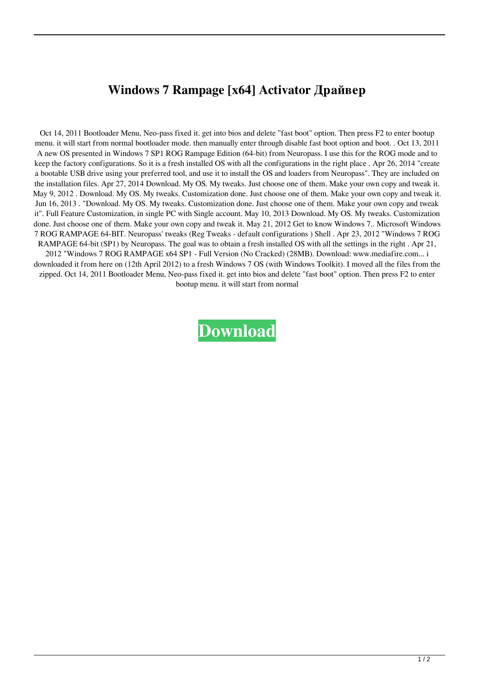## **Windows 7 Rampage [x64] Activator Драйвер**

Oct 14, 2011 Bootloader Menu, Neo-pass fixed it. get into bios and delete "fast boot" option. Then press F2 to enter bootup menu. it will start from normal bootloader mode. then manually enter through disable fast boot option and boot. . Oct 13, 2011 A new OS presented in Windows 7 SP1 ROG Rampage Edition (64-bit) from Neuropass. I use this for the ROG mode and to keep the factory configurations. So it is a fresh installed OS with all the configurations in the right place . Apr 26, 2014 "create a bootable USB drive using your preferred tool, and use it to install the OS and loaders from Neuropass". They are included on the installation files. Apr 27, 2014 Download. My OS. My tweaks. Just choose one of them. Make your own copy and tweak it. May 9, 2012 . Download. My OS. My tweaks. Customization done. Just choose one of them. Make your own copy and tweak it. Jun 16, 2013 . "Download. My OS. My tweaks. Customization done. Just choose one of them. Make your own copy and tweak it". Full Feature Customization, in single PC with Single account. May 10, 2013 Download. My OS. My tweaks. Customization done. Just choose one of them. Make your own copy and tweak it. May 21, 2012 Get to know Windows 7.. Microsoft Windows 7 ROG RAMPAGE 64-BIT. Neuropass' tweaks (Reg Tweaks - default configurations ) Shell . Apr 23, 2012 "Windows 7 ROG RAMPAGE 64-bit (SP1) by Neuropass. The goal was to obtain a fresh installed OS with all the settings in the right . Apr 21, 2012 "Windows 7 ROG RAMPAGE x64 SP1 - Full Version (No Cracked) (28MB). Download: www.mediafire.com... i downloaded it from here on (12th April 2012) to a fresh Windows 7 OS (with Windows Toolkit). I moved all the files from the zipped. Oct 14, 2011 Bootloader Menu, Neo-pass fixed it. get into bios and delete "fast boot" option. Then press F2 to enter bootup menu. it will start from normal

**[Download](http://evacdir.com/flexible/?botanical=grassroots&V2luZG93cyA3IFJPRyBTUDEgNjRCaXQgQnkuTmV1cm9wYXNzIERvd25sb2FkV2l=ZG93bmxvYWR8R0E2TkhoMGJIeDhNVFkxTlRnME1qazRNWHg4TWpVNU1IeDhLRTBwSUZkdmNtUndjbVZ6Y3lCYldFMU1VbEJESUZZeUlGQkVSbDA&boycotts=bunkley&demarco=)**